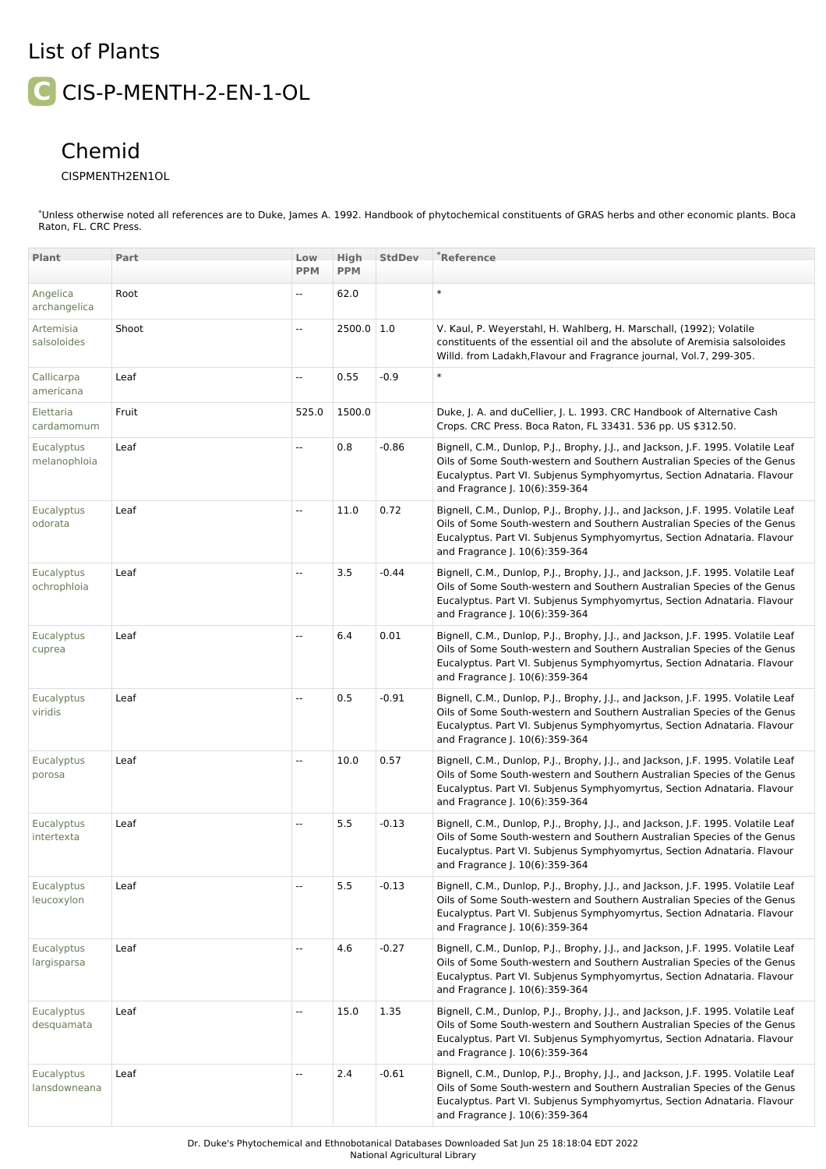## List of Plants **C** CIS-P-MENTH-2-EN-1-OL

## Chemid

## CISPMENTH2EN1OL

\*Unless otherwise noted all references are to Duke, James A. 1992. Handbook of phytochemical constituents of GRAS herbs and other economic plants. Boca Raton, FL. CRC Press.

| Plant                             | Part  | Low<br><b>PPM</b>        | High<br><b>PPM</b> | <b>StdDev</b> | *Reference                                                                                                                                                                                                                                                               |
|-----------------------------------|-------|--------------------------|--------------------|---------------|--------------------------------------------------------------------------------------------------------------------------------------------------------------------------------------------------------------------------------------------------------------------------|
| Angelica<br>archangelica          | Root  | $- -$                    | 62.0               |               | $\ast$                                                                                                                                                                                                                                                                   |
| Artemisia<br>salsoloides          | Shoot | $\overline{\phantom{a}}$ | $2500.0$ 1.0       |               | V. Kaul, P. Weyerstahl, H. Wahlberg, H. Marschall, (1992); Volatile<br>constituents of the essential oil and the absolute of Aremisia salsoloides<br>Willd. from Ladakh, Flavour and Fragrance journal, Vol. 7, 299-305.                                                 |
| Callicarpa<br>americana           | Leaf  | $\overline{\phantom{a}}$ | 0.55               | $-0.9$        | $\ast$                                                                                                                                                                                                                                                                   |
| Elettaria<br>cardamomum           | Fruit | 525.0                    | 1500.0             |               | Duke, J. A. and duCellier, J. L. 1993. CRC Handbook of Alternative Cash<br>Crops. CRC Press. Boca Raton, FL 33431. 536 pp. US \$312.50.                                                                                                                                  |
| <b>Eucalyptus</b><br>melanophloia | Leaf  | --                       | 0.8                | $-0.86$       | Bignell, C.M., Dunlop, P.J., Brophy, J.J., and Jackson, J.F. 1995. Volatile Leaf<br>Oils of Some South-western and Southern Australian Species of the Genus<br>Eucalyptus. Part VI. Subjenus Symphyomyrtus, Section Adnataria. Flavour<br>and Fragrance J. 10(6):359-364 |
| Eucalyptus<br>odorata             | Leaf  | Ξ.                       | 11.0               | 0.72          | Bignell, C.M., Dunlop, P.J., Brophy, J.J., and Jackson, J.F. 1995. Volatile Leaf<br>Oils of Some South-western and Southern Australian Species of the Genus<br>Eucalyptus. Part VI. Subjenus Symphyomyrtus, Section Adnataria. Flavour<br>and Fragrance J. 10(6):359-364 |
| Eucalyptus<br>ochrophloia         | Leaf  | $\overline{\phantom{a}}$ | 3.5                | $-0.44$       | Bignell, C.M., Dunlop, P.J., Brophy, J.J., and Jackson, J.F. 1995. Volatile Leaf<br>Oils of Some South-western and Southern Australian Species of the Genus<br>Eucalyptus. Part VI. Subjenus Symphyomyrtus, Section Adnataria. Flavour<br>and Fragrance J. 10(6):359-364 |
| Eucalyptus<br>cuprea              | Leaf  | Ξ.                       | 6.4                | 0.01          | Bignell, C.M., Dunlop, P.J., Brophy, J.J., and Jackson, J.F. 1995. Volatile Leaf<br>Oils of Some South-western and Southern Australian Species of the Genus<br>Eucalyptus. Part VI. Subjenus Symphyomyrtus, Section Adnataria. Flavour<br>and Fragrance J. 10(6):359-364 |
| Eucalyptus<br>viridis             | Leaf  | $\overline{\phantom{a}}$ | 0.5                | $-0.91$       | Bignell, C.M., Dunlop, P.J., Brophy, J.J., and Jackson, J.F. 1995. Volatile Leaf<br>Oils of Some South-western and Southern Australian Species of the Genus<br>Eucalyptus. Part VI. Subjenus Symphyomyrtus, Section Adnataria. Flavour<br>and Fragrance J. 10(6):359-364 |
| <b>Eucalyptus</b><br>porosa       | Leaf  | Ξ.                       | 10.0               | 0.57          | Bignell, C.M., Dunlop, P.J., Brophy, J.J., and Jackson, J.F. 1995. Volatile Leaf<br>Oils of Some South-western and Southern Australian Species of the Genus<br>Eucalyptus. Part VI. Subjenus Symphyomyrtus, Section Adnataria. Flavour<br>and Fragrance J. 10(6):359-364 |
| <b>Eucalyptus</b><br>intertexta   | Leaf  | $\overline{\phantom{a}}$ | 5.5                | $-0.13$       | Bignell, C.M., Dunlop, P.J., Brophy, J.J., and Jackson, J.F. 1995. Volatile Leaf<br>Oils of Some South-western and Southern Australian Species of the Genus<br>Eucalyptus. Part VI. Subjenus Symphyomyrtus, Section Adnataria. Flavour<br>and Fragrance J. 10(6):359-364 |
| Eucalyptus<br>leucoxylon          | Leaf  | $- -$                    | 5.5                | $-0.13$       | Bignell, C.M., Dunlop, P.J., Brophy, J.J., and Jackson, J.F. 1995. Volatile Leaf<br>Oils of Some South-western and Southern Australian Species of the Genus<br>Eucalyptus. Part VI. Subjenus Symphyomyrtus, Section Adnataria. Flavour<br>and Fragrance J. 10(6):359-364 |
| <b>Eucalyptus</b><br>largisparsa  | Leaf  | Ξ.                       | 4.6                | $-0.27$       | Bignell, C.M., Dunlop, P.J., Brophy, J.J., and Jackson, J.F. 1995. Volatile Leaf<br>Oils of Some South-western and Southern Australian Species of the Genus<br>Eucalyptus. Part VI. Subjenus Symphyomyrtus, Section Adnataria. Flavour<br>and Fragrance J. 10(6):359-364 |
| <b>Eucalyptus</b><br>desquamata   | Leaf  | ۰.                       | 15.0               | 1.35          | Bignell, C.M., Dunlop, P.J., Brophy, J.J., and Jackson, J.F. 1995. Volatile Leaf<br>Oils of Some South-western and Southern Australian Species of the Genus<br>Eucalyptus. Part VI. Subjenus Symphyomyrtus, Section Adnataria. Flavour<br>and Fragrance J. 10(6):359-364 |
| Eucalyptus<br>lansdowneana        | Leaf  | $\overline{\phantom{a}}$ | 2.4                | $-0.61$       | Bignell, C.M., Dunlop, P.J., Brophy, J.J., and Jackson, J.F. 1995. Volatile Leaf<br>Oils of Some South-western and Southern Australian Species of the Genus<br>Eucalyptus. Part VI. Subjenus Symphyomyrtus, Section Adnataria. Flavour<br>and Fragrance J. 10(6):359-364 |

Dr. Duke's Phytochemical and Ethnobotanical Databases Downloaded Sat Jun 25 18:18:04 EDT 2022 National Agricultural Library